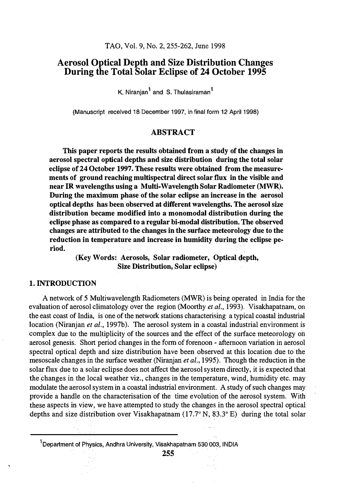# Aerosol Optical Depth and Size Distribution Changes During the Total Solar Eclipse of 24 October 1995

K. Niranian<sup>1</sup> and S. Thulasiraman<sup>1</sup>

(Manuscript received 18 December 1997, in final form 12 April 1998)

### ABSTRACT

This paper reports the results obtained from a study of the changes in aerosol spectral optical depths and size distribution during the total solar eclipse of 24 October 1997. These results were obtained from the measurements of ground reaching multispectral direct solar flux in the visible and near IR wavelengths using a Multi-Wavelength Solar Radiometer (MWR). During the maximum phase of the solar eclipse an increase in the aerosol optical depths has been observed at different wavelengths. The aerosol size distribution became modified into a monomodal distribution during the eclipse phase as compared to a regular bi-modal distribution. The observed changes are attributed to the changes in the surface meteorology due to the reduction in temperature and increase in humidity during the eclipse period.

> (Key Words: Aerosols, Solar radiometer, Optical depth, Size Distribution, Solar eclipse)

## 1. INTRODUCTION

A network of 5 Multiwavelength Radiometers (MWR) is being operated in India for the evaluation of aerosol climatology over the region (Moorthy et al., 1993). Visakhapatnam, on the east coast of India, is one of the network stations characterising a typical coastal industrial location (Niranjan et al., 1997b). The aerosol system in a coastal industrial environment is complex due to the multiplicity of the sources and the effect of the surface meteorology on aerosol genesis. Short period changes in the form of forenoon - afternoon variation in aerosol spectral optical depth and size distribution have been observed at this location due to the mesoscale changes in the surface weather (Niranjan et al., 1995). Though the reduction in the solar flux due to a solar eclipse does not affect the aerosol system directly, it is expected that the changes in the local weather viz., changes in the temperature, wind, humidity etc. may modulate the aerosol system in a coastal industrial environment. A study of such changes may provide a handle on the characterisation of the time evolution of the aerosol system. With these aspects in view, we have attempted to study the changes in the aerosol spectral optical depths and size distribution over Visakhapatnam (17 .7° N, 83.3° E) during the total solar

<sup>&</sup>lt;sup>1</sup>Department of Physics, Andhra University, Visakhapatnam 530 003, INDIA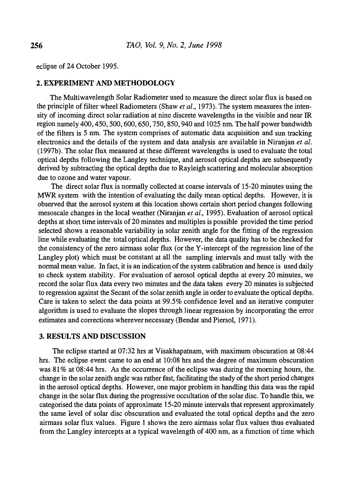eclipse of 24 October 1995.

### 2. EXPERIMENT AND METHODOLOGY

The Multi wavelength Solar Radiometer used to measure the direct solar flux is based on the principle of filter wheel Radiometers (Shaw *et al.*, 1973). The system measures the intensity of incoming direct solar radiation at nine discrete wavelengths in the visible and near IR region namely 400, 450, 500, 600, 650, 750, 850, 940 and1025 nm. The half power bandwidth of the filters is 5 nm. The system comprises of automatic data acquisition and sun tracking electronics and the details of the system and data analysis are available in Niranjan et al. (1997b). The solar flux measured at these different wavelengths is used to evaluate the total optical depths following the Langley technique, and aerosol optical depths are subsequently derived by subtracting the optical depths due to Rayleigh scattering and molecular absorption due to ozone and water vapour.

The direct solar flux is normally collected at coarse intervals of 15-20 minutes using the MWR system with the intention of evaluating the daily mean optical depths. However, it is observed that the aerosol system at this location shows certain short period changes following mesoscale changes in the local weather (Niranjan *et al.*, 1995). Evaluation of aerosol optical depths at short time intervals of 20 minutes and multiples is possible provided the time period selected shows a reasonable variability in solar zenith angle for the fitting of the regression line while evaluating the total optical depths. However, the data quality has to be checked for the consistency of the zero airmass solar flux (or the Y-intercept of the regression line of the Langley plot) which must be constant at all the sampling intervals and must tally with the normal mean value. In fact, it is an indication of the system calibration and hence is used daily to check system stability. For evaluation of aerosol optical depths at every 20 minutes, we record the solar flux data every two minutes and the data taken every 20 minutes is subjected to regression against the Secant of the solar zenith angle in order to evaluate the optical depths. Care is taken to select the data points at 99.5% confidence level and an iterative computer algorithm is used to evaluate the slopes through linear regression by incorporating the error estimates and corrections wherever necessary (Bendat and Piersol, 1971).

## 3. RESULTS AND DISCUSSION

The eclipse started at 07:32 hrs at Visakhapatnam, with maximum obscuration at 08:44 hrs. The eclipse event came to an end at 10:08 hrs and the degree of maximum obscuration was  $81\%$  at 08:44 hrs. As the occurrence of the eclipse was during the morning hours, the change in the solar zenith angle was rather fast, facilitating the study of the short period changes in the aerosol optical depths. However, one major problem in handling this data was the rapid change in the solar flux during the progressive occultation of the solar disc. To handle this, we categorised the data points of approximate 15-20 minute intervals that represent approximately the same level of solar disc obscuration and evaluated the total optical depths and the zero airmass solar flux values. Figure 1 shows the zero airmass solar flux values thus evaluated from the Langley intercepts at a typical wavelength of 400 nm, as a function of time which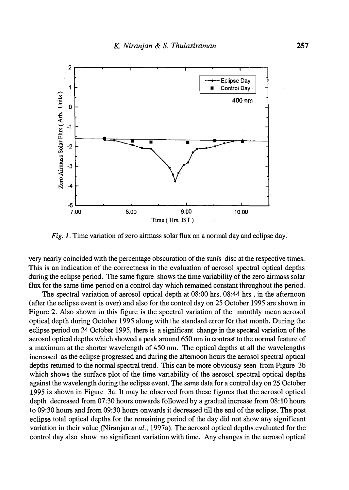

Fig. 1. Time variation of zero airmass solar flux on a normal day and eclipse day.

very nearly coincided with the percentage obscuration of the sunis disc at the respective times. This is an indication of the correctness in the evaluation of aerosol spectral optical depths during the eclipse period. The same figure shows the time variability of the zero airmass solar flux for the same time period on a control day which remained constant throughout the period.

The spectral variation of aerosol optical depth at 08:00 hrs, 08:44 hrs , in the afternoon (after the eclipse event is over) and also for the control day on 25 October 1995 are shown in Figure 2. Also shown in this figure is the spectral variation of the monthly mean aerosol optical depth during October 1995 along with the standard error for that month. During the eclipse period on 24 October 1995, there is a significant change in the spectral variation of the aerosol optical depths which showed a peak around 650 nm in contrast to the normal feature of a maximum at the shorter wavelength of 450 nm. The optical depths at all the wavelengths increased as the eclipse progressed and during the afternoon hours the aerosol spectral optical depths returned to the normal spectral trend. This can be more obviously seen from Figure 3b which shows the surface plot of the time variability of the aerosol spectral optical depths against the wavelength during the eclipse event. The same data for a control day on 25 October 1995 is shown in Figure 3a. It may be observed from these figures that the aerosol optical depth decreased from 07:30 hours onwards followed by a gradual increase from 08:10 hours to 09:30 hours and from 09:30 hours onwards it decreased till the end of the eclipse. The post eclipse total optical depths for the remaining period of the day did not show any significant variation in their value (Niranjan et al., 1997a). The aerosol optical depths evaluated for the control day also show no significant variation with time. Any changes in the aerosol optical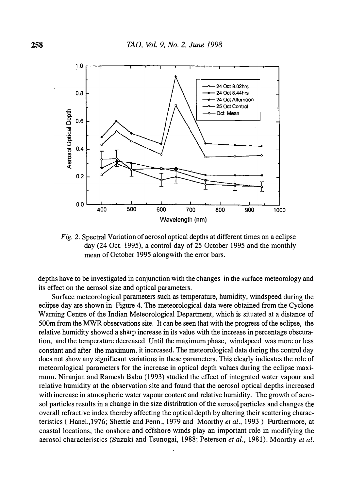

Fig. 2. Spectral Variation of aerosol optical depths at different times on a eclipse day (24 Oct. 1995), a control day of 25 October 1995 and the monthly mean of October 1995 alongwith the error bars.

depths have to be investigated in conjunction with the changes in the surface meteorology and its effect on the aerosol size and optical parameters.

Surface meteorological parameters such as temperature, humidity, windspeed during the eclipse day are shown in Figure 4. The meteorological data were obtained from the Cyclone Warning Centre of the Indian Meteorological Department, which is situated at a distance of 500m from the MWR observations site. It can be seen that with the progress of the eclipse, the relative humidity showed a sharp increase in its value with the increase in percentage obscuration, and the temperature decreased. Until the maximum phase, windspeed was more or less constant and after the maximum, it increased. The meteorological data during the control day does not show any significant variations in these parameters. This clearly indicates the role of meteorological parameters for the increase in optical depth values during the eclipse maximum. Niranjan and Ramesh Babu (1993) studied the effect of integrated water vapour and relative humidity at the observation site and found that the aerosol optical depths increased with increase in atmospheric water vapour content and relative humidity. The growth of aerosol particles results in a change in the size distribution of the aerosol particles and changes the overall refractive index thereby affecting the optical depth by altering their scattering characteristics ( Hanel., 1976; Shettle and Fenn., 1979 and Moorthy et al., 1993) Furthermore, at coastal locations, the onshore and offshore winds play an important role in modifying the aerosol characteristics (Suzuki and Tsunogai, 1988; Peterson et al., 1981). Moorthy et al.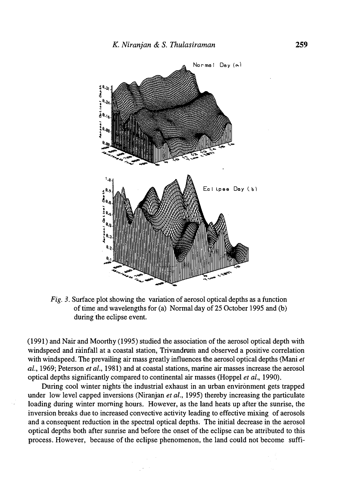

Fig. 3. Surface plot showing the variation of aerosol optical depths as a function of time and wavelengths for (a) Normal day of 25 October 1995 and (b) during the eclipse event.

(1991) and Nair and Moorthy (1995) studied the association of the aerosol optical depth with windspeed and rainfall at a coastal station, Trivandrum and observed a positive correlation with windspeed. The prevailing air mass greatly influences the aerosol optical depths (Mani et al., 1969; Peterson et al., 1981) and at coastal stations, marine air masses increase the aerosol optical depths significantly compared to continental air masses (Hoppel *et al.*, 1990).

During cool winter nights the industrial exhaust in an urban environment gets trapped under low level capped inversions (Niranjan et al., 1995) thereby increasing the particulate loading during winter morning hours.. However, as the land heats up after the sunrise, the inversion breaks due to increased convective activity leading to effective mixing of aerosols and a consequent reduction in the spectral optical depths. The initial decrease in the aerosol optical depths both after sunrise and before the onset of the eclipse can be attributed to this process. However, because of the eclipse phenomenon, the land could not become suffi-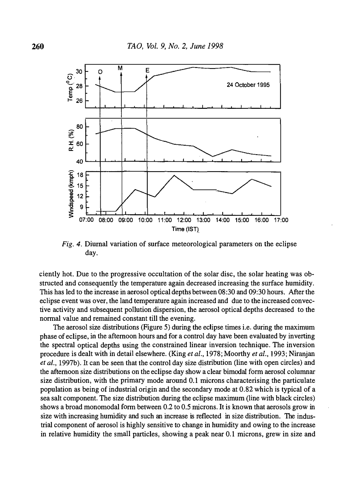

Fig. 4. Diurnal variation of surface meteorological parameters on the eclipse day.

ciently hot. Due to the progressive occultation of the solar disc, the solar heating was obstructed and consequently the temperature again decreased increasing the surface humidity. This has led to the increase in aerosol optical depths between 08:30 and 09:30 hours. After the eclipse event was over, the land temperature again increased and due to the increased convective activity and subsequent pollution dispersion, the aerosol optical depths decreased to the normal value and remained constant till the evening.

The aerosol size distributions (Figure 5) during the eclipse times i.e. during the maximum phase of eclipse, in the afternoon hours and for a control day have been evaluated by inverting the spectral optical depths using the constrained linear inversion technique. The inversion procedure is dealt with in detail elsewhere. (King et al., 1978; Moorthy et al., 1993; Niranjan et al., 1997b). It can be seen that the control day size distribution (line with open circles) and the afternoon size distributions on the eclipse day show a clear bimodal form aerosol columnar size distribution, with the primary mode around 0.1 microns characterising the particulate population as being of industrial origin and the secondary mode at 0.82 which is typical of a sea salt component. The size distribution during the eclipse maximum (line with black circles) shows a broad monomodal form between 0.2 to 0.5 microns. It is known that aerosols grow in size with increasing humidity and such an increase is reflected in size distribution. The industrial component of aerosol is highly sensitive to change in humidity and owing to the increase in relative humidity the small particles, showing a peak near 0.1 microns, grew in size and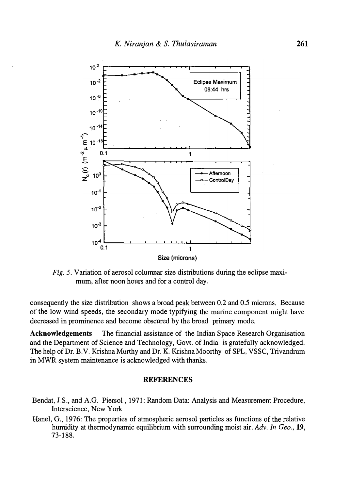

Fig. 5. Variation of aerosol columnar size distributions during the eclipse maximum, after noon hours and for a control day.

consequently the size distribution shows a broad peak between 0.2 and 0.5 microns. Because of the low wind speeds, the secondary mode typifying the marine component might have decreased in prominence and become obscured by the broad primary mode,

Acknowledgements The financial assistance of the Indian Space Research Organisation and the Department of Science and Technology, Govt. of India is gratefully acknowledged. The help of Dr. B.V. Krishna Murthy and Dr. K. Krishna Moorthy of SPL, VSSC, Trivandrum in MWR system maintenance is acknowledged with thanks.

#### REFERENCES

- Bendat, J.S., and A.G. Piersol, 1971: Random Data: Analysis and Measurement Procedure, lnterscience, New York
- Hanel, G., 1976: The properties of atmospheric aerosol particles as functions of the relative humidity at thermodynamic equilibrium with surrounding moist air. Adv. In Geo., 19, 73-188.